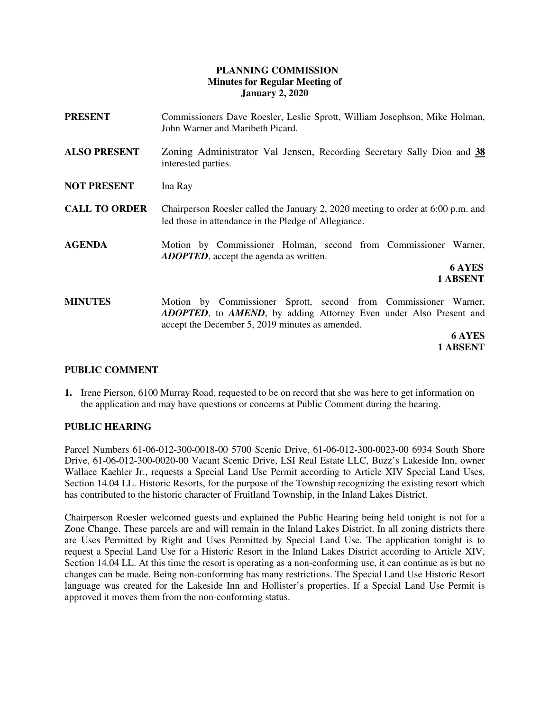# **PLANNING COMMISSION Minutes for Regular Meeting of January 2, 2020**

| <b>PRESENT</b>       | Commissioners Dave Roesler, Leslie Sprott, William Josephson, Mike Holman,<br>John Warner and Maribeth Picard.                                                                                          |
|----------------------|---------------------------------------------------------------------------------------------------------------------------------------------------------------------------------------------------------|
| <b>ALSO PRESENT</b>  | Zoning Administrator Val Jensen, Recording Secretary Sally Dion and 38<br>interested parties.                                                                                                           |
| <b>NOT PRESENT</b>   | Ina Ray                                                                                                                                                                                                 |
| <b>CALL TO ORDER</b> | Chairperson Roesler called the January 2, 2020 meeting to order at $6:00$ p.m. and<br>led those in attendance in the Pledge of Allegiance.                                                              |
| <b>AGENDA</b>        | Motion by Commissioner Holman, second from Commissioner Warner,<br><b>ADOPTED</b> , accept the agenda as written.                                                                                       |
|                      | <b>6 AYES</b><br>1 ABSENT                                                                                                                                                                               |
| <b>MINUTES</b>       | Motion by Commissioner Sprott, second from Commissioner Warner,<br><b>ADOPTED</b> , to <b>AMEND</b> , by adding Attorney Even under Also Present and<br>accept the December 5, 2019 minutes as amended. |
|                      | <b>6 AYES</b>                                                                                                                                                                                           |
|                      | 1 ABSENT                                                                                                                                                                                                |

# **PUBLIC COMMENT**

**1.** Irene Pierson, 6100 Murray Road, requested to be on record that she was here to get information on the application and may have questions or concerns at Public Comment during the hearing.

# **PUBLIC HEARING**

Parcel Numbers 61-06-012-300-0018-00 5700 Scenic Drive, 61-06-012-300-0023-00 6934 South Shore Drive, 61-06-012-300-0020-00 Vacant Scenic Drive, LSI Real Estate LLC, Buzz's Lakeside Inn, owner Wallace Kaehler Jr., requests a Special Land Use Permit according to Article XIV Special Land Uses, Section 14.04 LL. Historic Resorts, for the purpose of the Township recognizing the existing resort which has contributed to the historic character of Fruitland Township, in the Inland Lakes District.

Chairperson Roesler welcomed guests and explained the Public Hearing being held tonight is not for a Zone Change. These parcels are and will remain in the Inland Lakes District. In all zoning districts there are Uses Permitted by Right and Uses Permitted by Special Land Use. The application tonight is to request a Special Land Use for a Historic Resort in the Inland Lakes District according to Article XIV, Section 14.04 LL. At this time the resort is operating as a non-conforming use, it can continue as is but no changes can be made. Being non-conforming has many restrictions. The Special Land Use Historic Resort language was created for the Lakeside Inn and Hollister's properties. If a Special Land Use Permit is approved it moves them from the non-conforming status.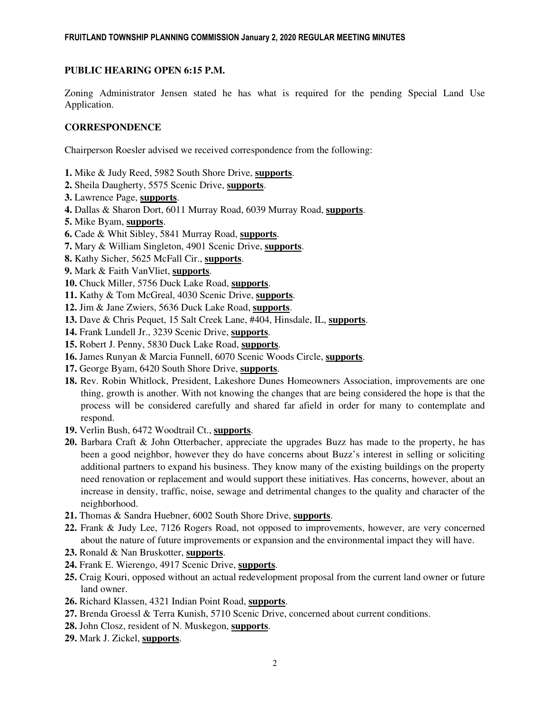# **PUBLIC HEARING OPEN 6:15 P.M.**

Zoning Administrator Jensen stated he has what is required for the pending Special Land Use Application.

# **CORRESPONDENCE**

Chairperson Roesler advised we received correspondence from the following:

- **1.** Mike & Judy Reed, 5982 South Shore Drive, **supports**.
- **2.** Sheila Daugherty, 5575 Scenic Drive, **supports**.
- **3.** Lawrence Page, **supports**.
- **4.** Dallas & Sharon Dort, 6011 Murray Road, 6039 Murray Road, **supports**.
- **5.** Mike Byam, **supports**.
- **6.** Cade & Whit Sibley, 5841 Murray Road, **supports**.
- **7.** Mary & William Singleton, 4901 Scenic Drive, **supports**.
- **8.** Kathy Sicher, 5625 McFall Cir., **supports**.
- **9.** Mark & Faith VanVliet, **supports**.
- **10.** Chuck Miller, 5756 Duck Lake Road, **supports**.
- **11.** Kathy & Tom McGreal, 4030 Scenic Drive, **supports**.
- **12.** Jim & Jane Zwiers, 5636 Duck Lake Road, **supports**.
- **13.** Dave & Chris Pequet, 15 Salt Creek Lane, #404, Hinsdale, IL, **supports**.
- **14.** Frank Lundell Jr., 3239 Scenic Drive, **supports**.
- **15.** Robert J. Penny, 5830 Duck Lake Road, **supports**.
- **16.** James Runyan & Marcia Funnell, 6070 Scenic Woods Circle, **supports**.
- **17.** George Byam, 6420 South Shore Drive, **supports**.
- **18.** Rev. Robin Whitlock, President, Lakeshore Dunes Homeowners Association, improvements are one thing, growth is another. With not knowing the changes that are being considered the hope is that the process will be considered carefully and shared far afield in order for many to contemplate and respond.
- **19.** Verlin Bush, 6472 Woodtrail Ct., **supports**.
- **20.** Barbara Craft & John Otterbacher, appreciate the upgrades Buzz has made to the property, he has been a good neighbor, however they do have concerns about Buzz's interest in selling or soliciting additional partners to expand his business. They know many of the existing buildings on the property need renovation or replacement and would support these initiatives. Has concerns, however, about an increase in density, traffic, noise, sewage and detrimental changes to the quality and character of the neighborhood.
- **21.** Thomas & Sandra Huebner, 6002 South Shore Drive, **supports**.
- **22.** Frank & Judy Lee, 7126 Rogers Road, not opposed to improvements, however, are very concerned about the nature of future improvements or expansion and the environmental impact they will have.
- **23.** Ronald & Nan Bruskotter, **supports**.
- **24.** Frank E. Wierengo, 4917 Scenic Drive, **supports**.
- **25.** Craig Kouri, opposed without an actual redevelopment proposal from the current land owner or future land owner.
- **26.** Richard Klassen, 4321 Indian Point Road, **supports**.
- **27.** Brenda Groessl & Terra Kunish, 5710 Scenic Drive, concerned about current conditions.
- **28.** John Closz, resident of N. Muskegon, **supports**.
- **29.** Mark J. Zickel, **supports**.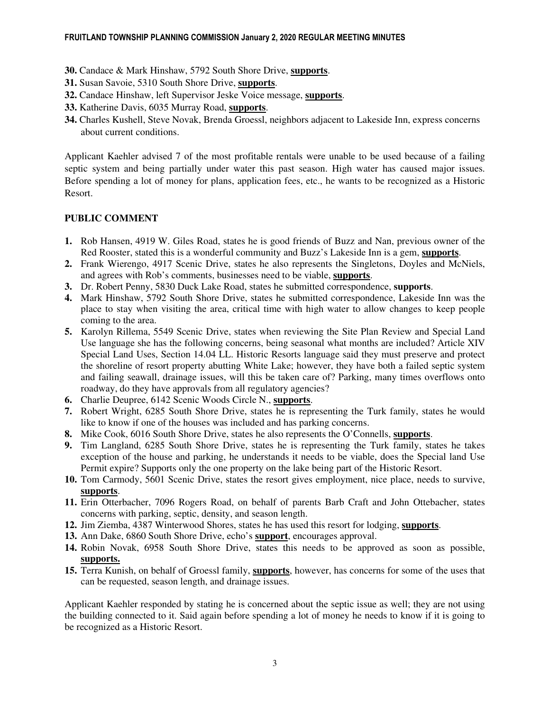- **30.** Candace & Mark Hinshaw, 5792 South Shore Drive, **supports**.
- **31.** Susan Savoie, 5310 South Shore Drive, **supports**.
- **32.** Candace Hinshaw, left Supervisor Jeske Voice message, **supports**.
- **33.** Katherine Davis, 6035 Murray Road, **supports**.
- **34.** Charles Kushell, Steve Novak, Brenda Groessl, neighbors adjacent to Lakeside Inn, express concerns about current conditions.

Applicant Kaehler advised 7 of the most profitable rentals were unable to be used because of a failing septic system and being partially under water this past season. High water has caused major issues. Before spending a lot of money for plans, application fees, etc., he wants to be recognized as a Historic Resort.

# **PUBLIC COMMENT**

- **1.** Rob Hansen, 4919 W. Giles Road, states he is good friends of Buzz and Nan, previous owner of the Red Rooster, stated this is a wonderful community and Buzz's Lakeside Inn is a gem, **supports**.
- **2.** Frank Wierengo, 4917 Scenic Drive, states he also represents the Singletons, Doyles and McNiels, and agrees with Rob's comments, businesses need to be viable, **supports**.
- **3.** Dr. Robert Penny, 5830 Duck Lake Road, states he submitted correspondence, **supports**.
- **4.** Mark Hinshaw, 5792 South Shore Drive, states he submitted correspondence, Lakeside Inn was the place to stay when visiting the area, critical time with high water to allow changes to keep people coming to the area.
- **5.** Karolyn Rillema, 5549 Scenic Drive, states when reviewing the Site Plan Review and Special Land Use language she has the following concerns, being seasonal what months are included? Article XIV Special Land Uses, Section 14.04 LL. Historic Resorts language said they must preserve and protect the shoreline of resort property abutting White Lake; however, they have both a failed septic system and failing seawall, drainage issues, will this be taken care of? Parking, many times overflows onto roadway, do they have approvals from all regulatory agencies?
- **6.** Charlie Deupree, 6142 Scenic Woods Circle N., **supports**.
- **7.** Robert Wright, 6285 South Shore Drive, states he is representing the Turk family, states he would like to know if one of the houses was included and has parking concerns.
- **8.** Mike Cook, 6016 South Shore Drive, states he also represents the O'Connells, **supports**.
- **9.** Tim Langland, 6285 South Shore Drive, states he is representing the Turk family, states he takes exception of the house and parking, he understands it needs to be viable, does the Special land Use Permit expire? Supports only the one property on the lake being part of the Historic Resort.
- **10.** Tom Carmody, 5601 Scenic Drive, states the resort gives employment, nice place, needs to survive, **supports**.
- **11.** Erin Otterbacher, 7096 Rogers Road, on behalf of parents Barb Craft and John Ottebacher, states concerns with parking, septic, density, and season length.
- **12.** Jim Ziemba, 4387 Winterwood Shores, states he has used this resort for lodging, **supports**.
- **13.** Ann Dake, 6860 South Shore Drive, echo's **support**, encourages approval.
- **14.** Robin Novak, 6958 South Shore Drive, states this needs to be approved as soon as possible, **supports.**
- **15.** Terra Kunish, on behalf of Groessl family, **supports**, however, has concerns for some of the uses that can be requested, season length, and drainage issues.

Applicant Kaehler responded by stating he is concerned about the septic issue as well; they are not using the building connected to it. Said again before spending a lot of money he needs to know if it is going to be recognized as a Historic Resort.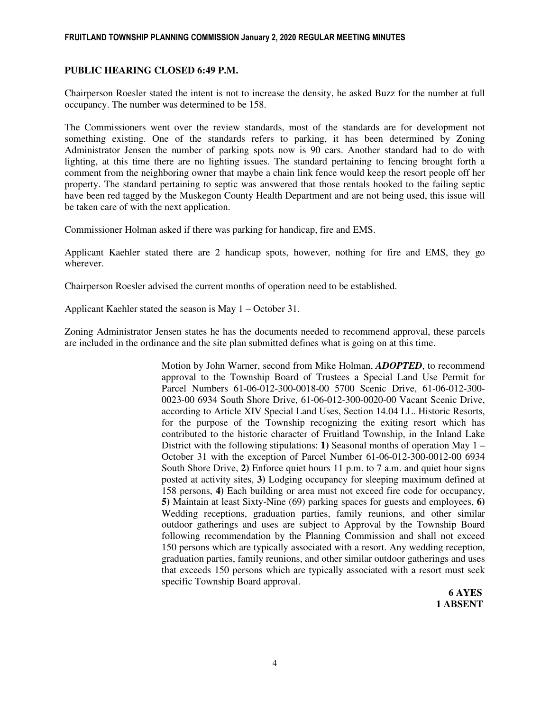#### FRUITLAND TOWNSHIP PLANNING COMMISSION January 2, 2020 REGULAR MEETING MINUTES

### **PUBLIC HEARING CLOSED 6:49 P.M.**

Chairperson Roesler stated the intent is not to increase the density, he asked Buzz for the number at full occupancy. The number was determined to be 158.

The Commissioners went over the review standards, most of the standards are for development not something existing. One of the standards refers to parking, it has been determined by Zoning Administrator Jensen the number of parking spots now is 90 cars. Another standard had to do with lighting, at this time there are no lighting issues. The standard pertaining to fencing brought forth a comment from the neighboring owner that maybe a chain link fence would keep the resort people off her property. The standard pertaining to septic was answered that those rentals hooked to the failing septic have been red tagged by the Muskegon County Health Department and are not being used, this issue will be taken care of with the next application.

Commissioner Holman asked if there was parking for handicap, fire and EMS.

Applicant Kaehler stated there are 2 handicap spots, however, nothing for fire and EMS, they go wherever.

Chairperson Roesler advised the current months of operation need to be established.

Applicant Kaehler stated the season is May 1 – October 31.

Zoning Administrator Jensen states he has the documents needed to recommend approval, these parcels are included in the ordinance and the site plan submitted defines what is going on at this time.

> Motion by John Warner, second from Mike Holman, *ADOPTED*, to recommend approval to the Township Board of Trustees a Special Land Use Permit for Parcel Numbers 61-06-012-300-0018-00 5700 Scenic Drive, 61-06-012-300- 0023-00 6934 South Shore Drive, 61-06-012-300-0020-00 Vacant Scenic Drive, according to Article XIV Special Land Uses, Section 14.04 LL. Historic Resorts, for the purpose of the Township recognizing the exiting resort which has contributed to the historic character of Fruitland Township, in the Inland Lake District with the following stipulations: **1)** Seasonal months of operation May 1 – October 31 with the exception of Parcel Number 61-06-012-300-0012-00 6934 South Shore Drive, **2)** Enforce quiet hours 11 p.m. to 7 a.m. and quiet hour signs posted at activity sites, **3)** Lodging occupancy for sleeping maximum defined at 158 persons, **4)** Each building or area must not exceed fire code for occupancy, **5)** Maintain at least Sixty-Nine (69) parking spaces for guests and employees, **6)** Wedding receptions, graduation parties, family reunions, and other similar outdoor gatherings and uses are subject to Approval by the Township Board following recommendation by the Planning Commission and shall not exceed 150 persons which are typically associated with a resort. Any wedding reception, graduation parties, family reunions, and other similar outdoor gatherings and uses that exceeds 150 persons which are typically associated with a resort must seek specific Township Board approval.

 **6 AYES 1 ABSENT**